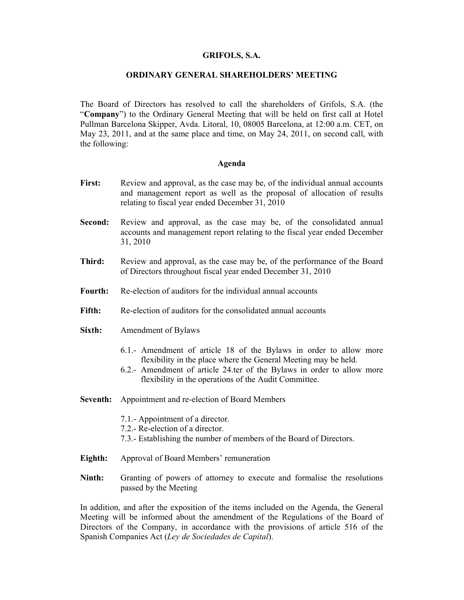### GRIFOLS, S.A.

### ORDINARY GENERAL SHAREHOLDERS' MEETING

The Board of Directors has resolved to call the shareholders of Grifols, S.A. (the "Company") to the Ordinary General Meeting that will be held on first call at Hotel Pullman Barcelona Skipper, Avda. Litoral, 10, 08005 Barcelona, at 12:00 a.m. CET, on May 23, 2011, and at the same place and time, on May 24, 2011, on second call, with the following:

#### Agenda

- First: Review and approval, as the case may be, of the individual annual accounts and management report as well as the proposal of allocation of results relating to fiscal year ended December 31, 2010
- Second: Review and approval, as the case may be, of the consolidated annual accounts and management report relating to the fiscal year ended December 31, 2010
- Third: Review and approval, as the case may be, of the performance of the Board of Directors throughout fiscal year ended December 31, 2010
- Fourth: Re-election of auditors for the individual annual accounts
- Fifth: Re-election of auditors for the consolidated annual accounts
- Sixth: Amendment of Bylaws
	- 6.1.- Amendment of article 18 of the Bylaws in order to allow more flexibility in the place where the General Meeting may be held.
	- 6.2.- Amendment of article 24.ter of the Bylaws in order to allow more flexibility in the operations of the Audit Committee.
- Seventh: Appointment and re-election of Board Members
	- 7.1.- Appointment of a director.
	- 7.2.- Re-election of a director.
	- 7.3.- Establishing the number of members of the Board of Directors.
- Eighth: Approval of Board Members' remuneration
- Ninth: Granting of powers of attorney to execute and formalise the resolutions passed by the Meeting

In addition, and after the exposition of the items included on the Agenda, the General Meeting will be informed about the amendment of the Regulations of the Board of Directors of the Company, in accordance with the provisions of article 516 of the Spanish Companies Act (Ley de Sociedades de Capital).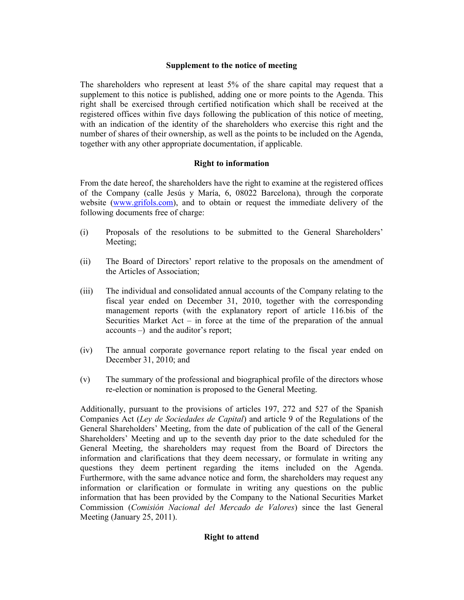## Supplement to the notice of meeting

The shareholders who represent at least 5% of the share capital may request that a supplement to this notice is published, adding one or more points to the Agenda. This right shall be exercised through certified notification which shall be received at the registered offices within five days following the publication of this notice of meeting, with an indication of the identity of the shareholders who exercise this right and the number of shares of their ownership, as well as the points to be included on the Agenda, together with any other appropriate documentation, if applicable.

## Right to information

From the date hereof, the shareholders have the right to examine at the registered offices of the Company (calle Jesús y María, 6, 08022 Barcelona), through the corporate website (www.grifols.com), and to obtain or request the immediate delivery of the following documents free of charge:

- (i) Proposals of the resolutions to be submitted to the General Shareholders' Meeting;
- (ii) The Board of Directors' report relative to the proposals on the amendment of the Articles of Association;
- (iii) The individual and consolidated annual accounts of the Company relating to the fiscal year ended on December 31, 2010, together with the corresponding management reports (with the explanatory report of article 116.bis of the Securities Market Act – in force at the time of the preparation of the annual accounts –) and the auditor's report;
- (iv) The annual corporate governance report relating to the fiscal year ended on December 31, 2010; and
- (v) The summary of the professional and biographical profile of the directors whose re-election or nomination is proposed to the General Meeting.

Additionally, pursuant to the provisions of articles 197, 272 and 527 of the Spanish Companies Act (Ley de Sociedades de Capital) and article 9 of the Regulations of the General Shareholders' Meeting, from the date of publication of the call of the General Shareholders' Meeting and up to the seventh day prior to the date scheduled for the General Meeting, the shareholders may request from the Board of Directors the information and clarifications that they deem necessary, or formulate in writing any questions they deem pertinent regarding the items included on the Agenda. Furthermore, with the same advance notice and form, the shareholders may request any information or clarification or formulate in writing any questions on the public information that has been provided by the Company to the National Securities Market Commission (Comisión Nacional del Mercado de Valores) since the last General Meeting (January 25, 2011).

# Right to attend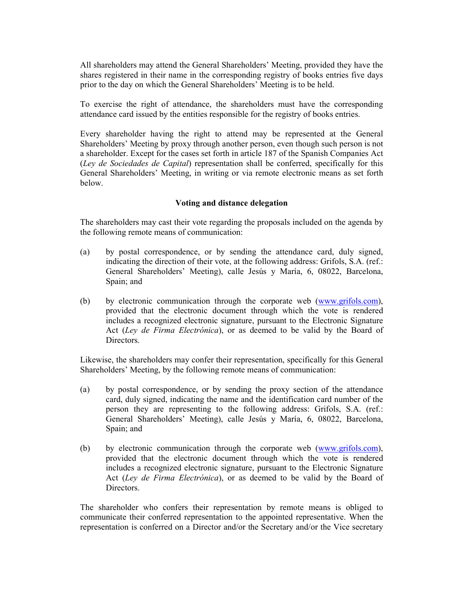All shareholders may attend the General Shareholders' Meeting, provided they have the shares registered in their name in the corresponding registry of books entries five days prior to the day on which the General Shareholders' Meeting is to be held.

To exercise the right of attendance, the shareholders must have the corresponding attendance card issued by the entities responsible for the registry of books entries.

Every shareholder having the right to attend may be represented at the General Shareholders' Meeting by proxy through another person, even though such person is not a shareholder. Except for the cases set forth in article 187 of the Spanish Companies Act (Ley de Sociedades de Capital) representation shall be conferred, specifically for this General Shareholders' Meeting, in writing or via remote electronic means as set forth below.

## Voting and distance delegation

The shareholders may cast their vote regarding the proposals included on the agenda by the following remote means of communication:

- (a) by postal correspondence, or by sending the attendance card, duly signed, indicating the direction of their vote, at the following address: Grifols, S.A. (ref.: General Shareholders' Meeting), calle Jesús y María, 6, 08022, Barcelona, Spain; and
- (b) by electronic communication through the corporate web (www.grifols.com), provided that the electronic document through which the vote is rendered includes a recognized electronic signature, pursuant to the Electronic Signature Act (Ley de Firma Electrónica), or as deemed to be valid by the Board of Directors.

Likewise, the shareholders may confer their representation, specifically for this General Shareholders' Meeting, by the following remote means of communication:

- (a) by postal correspondence, or by sending the proxy section of the attendance card, duly signed, indicating the name and the identification card number of the person they are representing to the following address: Grifols, S.A. (ref.: General Shareholders' Meeting), calle Jesús y María, 6, 08022, Barcelona, Spain; and
- (b) by electronic communication through the corporate web (www.grifols.com), provided that the electronic document through which the vote is rendered includes a recognized electronic signature, pursuant to the Electronic Signature Act (Ley de Firma Electrónica), or as deemed to be valid by the Board of Directors.

The shareholder who confers their representation by remote means is obliged to communicate their conferred representation to the appointed representative. When the representation is conferred on a Director and/or the Secretary and/or the Vice secretary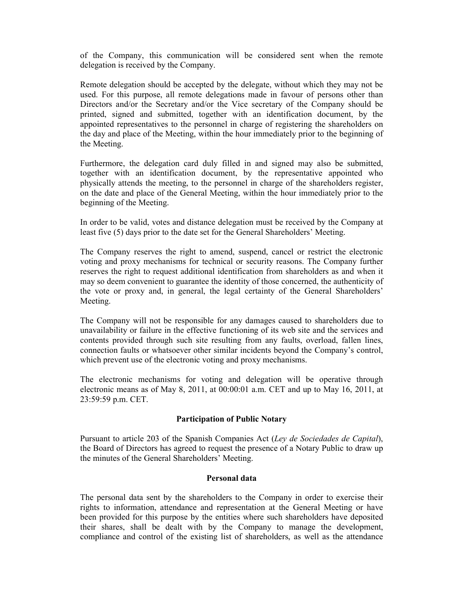of the Company, this communication will be considered sent when the remote delegation is received by the Company.

Remote delegation should be accepted by the delegate, without which they may not be used. For this purpose, all remote delegations made in favour of persons other than Directors and/or the Secretary and/or the Vice secretary of the Company should be printed, signed and submitted, together with an identification document, by the appointed representatives to the personnel in charge of registering the shareholders on the day and place of the Meeting, within the hour immediately prior to the beginning of the Meeting.

Furthermore, the delegation card duly filled in and signed may also be submitted, together with an identification document, by the representative appointed who physically attends the meeting, to the personnel in charge of the shareholders register, on the date and place of the General Meeting, within the hour immediately prior to the beginning of the Meeting.

In order to be valid, votes and distance delegation must be received by the Company at least five (5) days prior to the date set for the General Shareholders' Meeting.

The Company reserves the right to amend, suspend, cancel or restrict the electronic voting and proxy mechanisms for technical or security reasons. The Company further reserves the right to request additional identification from shareholders as and when it may so deem convenient to guarantee the identity of those concerned, the authenticity of the vote or proxy and, in general, the legal certainty of the General Shareholders' Meeting.

The Company will not be responsible for any damages caused to shareholders due to unavailability or failure in the effective functioning of its web site and the services and contents provided through such site resulting from any faults, overload, fallen lines, connection faults or whatsoever other similar incidents beyond the Company's control, which prevent use of the electronic voting and proxy mechanisms.

The electronic mechanisms for voting and delegation will be operative through electronic means as of May 8, 2011, at 00:00:01 a.m. CET and up to May 16, 2011, at 23:59:59 p.m. CET.

### Participation of Public Notary

Pursuant to article 203 of the Spanish Companies Act (Ley de Sociedades de Capital), the Board of Directors has agreed to request the presence of a Notary Public to draw up the minutes of the General Shareholders' Meeting.

### Personal data

The personal data sent by the shareholders to the Company in order to exercise their rights to information, attendance and representation at the General Meeting or have been provided for this purpose by the entities where such shareholders have deposited their shares, shall be dealt with by the Company to manage the development, compliance and control of the existing list of shareholders, as well as the attendance